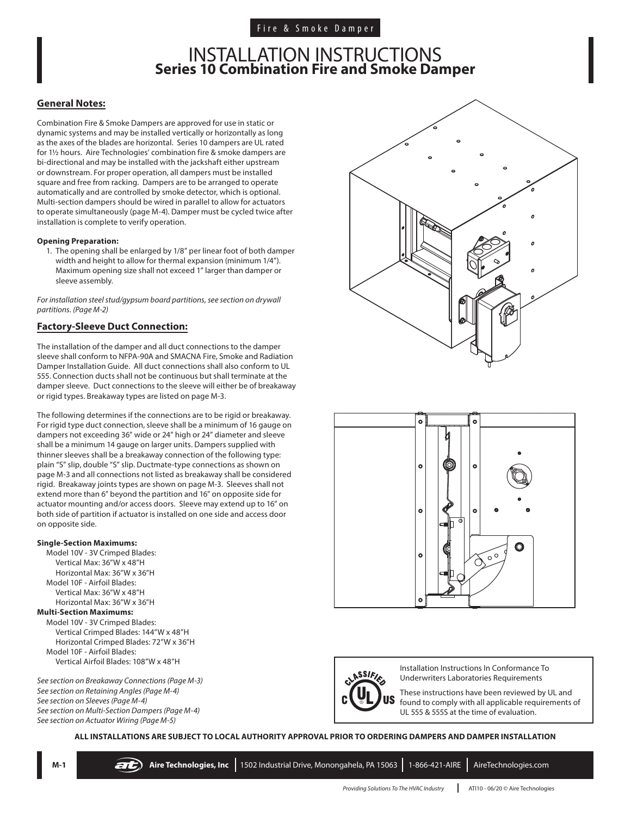# INSTALLATION INSTRUCTIONS **Series 10 Combination Fire and Smoke Damper**

#### **General Notes:**

Combination Fire & Smoke Dampers are approved for use in static or dynamic systems and may be installed vertically or horizontally as long as the axes of the blades are horizontal. Series 10 dampers are UL rated for 1½ hours. Aire Technologies' combination fire & smoke dampers are bi-directional and may be installed with the jackshaft either upstream or downstream. For proper operation, all dampers must be installed square and free from racking. Dampers are to be arranged to operate automatically and are controlled by smoke detector, which is optional. Multi-section dampers should be wired in parallel to allow for actuators to operate simultaneously (page M-4). Damper must be cycled twice after installation is complete to verify operation.

#### **Opening Preparation:**

1. The opening shall be enlarged by 1/8" per linear foot of both damper width and height to allow for thermal expansion (minimum 1/4"). Maximum opening size shall not exceed 1" larger than damper or sleeve assembly.

*For installation steel stud/gypsum board partitions, see section on drywall partitions. (Page M-2)*

# **Factory-Sleeve Duct Connection:**

The installation of the damper and all duct connections to the damper sleeve shall conform to NFPA-90A and SMACNA Fire, Smoke and Radiation Damper Installation Guide. All duct connections shall also conform to UL 555. Connection ducts shall not be continuous but shall terminate at the damper sleeve. Duct connections to the sleeve will either be of breakaway or rigid types. Breakaway types are listed on page M-3.

The following determines if the connections are to be rigid or breakaway. For rigid type duct connection, sleeve shall be a minimum of 16 gauge on dampers not exceeding 36" wide or 24" high or 24" diameter and sleeve shall be a minimum 14 gauge on larger units. Dampers supplied with thinner sleeves shall be a breakaway connection of the following type: plain "S" slip, double "S" slip. Ductmate-type connections as shown on page M-3 and all connections not listed as breakaway shall be considered rigid. Breakaway joints types are shown on page M-3. Sleeves shall not extend more than 6" beyond the partition and 16" on opposite side for actuator mounting and/or access doors. Sleeve may extend up to 16" on both side of partition if actuator is installed on one side and access door on opposite side.

#### **Single-Section Maximums:**

Model 10V - 3V Crimped Blades: Vertical Max: 36"W x 48"H Horizontal Max: 36"W x 36"H Model 10F - Airfoil Blades: Vertical Max: 36"W x 48"H Horizontal Max: 36"W x 36"H

#### **Multi-Section Maximums:**

Model 10V - 3V Crimped Blades: Vertical Crimped Blades: 144"W x 48"H Horizontal Crimped Blades: 72"W x 36"H Model 10F - Airfoil Blades: Vertical Airfoil Blades: 108"W x 48"H

*See section on Breakaway Connections (Page M-3) See section on Retaining Angles (Page M-4) See section on Sleeves (Page M-4) See section on Multi-Section Dampers (Page M-4) See section on Actuator Wiring (Page M-5)*







Installation Instructions In Conformance To Underwriters Laboratories Requirements

These instructions have been reviewed by UL and found to comply with all applicable requirements of UL 555 & 555S at the time of evaluation.

**ALL INSTALLATIONS ARE SUBJECT TO LOCAL AUTHORITY APPROVAL PRIOR TO ORDERING DAMPERS AND DAMPER INSTALLATION**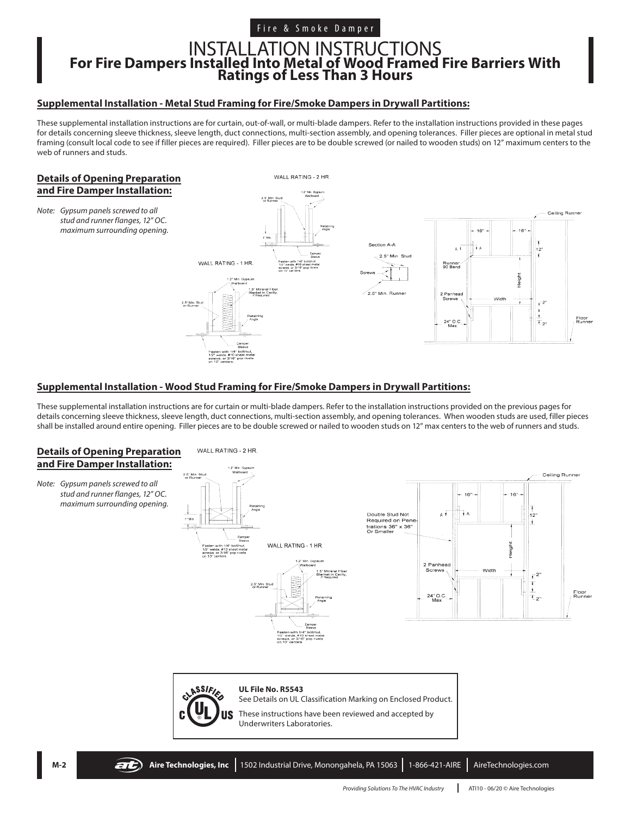# Fire & Smoke Damper

# INSTALLATION INSTRUCTIONS **For Fire Dampers Installed Into Metal of Wood Framed Fire Barriers With Ratings of Less Than 3 Hours**

### **Supplemental Installation - Metal Stud Framing for Fire/Smoke Dampers in Drywall Partitions:**

These supplemental installation instructions are for curtain, out-of-wall, or multi-blade dampers. Refer to the installation instructions provided in these pages for details concerning sleeve thickness, sleeve length, duct connections, multi-section assembly, and opening tolerances. Filler pieces are optional in metal stud framing (consult local code to see if filler pieces are required). Filler pieces are to be double screwed (or nailed to wooden studs) on 12" maximum centers to the web of runners and studs.

### **Details of Opening Preparation and Fire Damper Installation:**

*Note: Gypsum panels screwed to all stud and runner flanges, 12" OC. maximum surrounding opening.*



# **Supplemental Installation - Wood Stud Framing for Fire/Smoke Dampers in Drywall Partitions:**

These supplemental installation instructions are for curtain or multi-blade dampers. Refer to the installation instructions provided on the previous pages for details concerning sleeve thickness, sleeve length, duct connections, multi-section assembly, and opening tolerances. When wooden studs are used, filler pieces shall be installed around entire opening. Filler pieces are to be double screwed or nailed to wooden studs on 12" max centers to the web of runners and studs.

### **Details of Opening Preparation and Fire Damper Installation:**

*Note: Gypsum panels screwed to all stud and runner flanges, 12" OC. maximum surrounding opening.*



2.5" Min. St





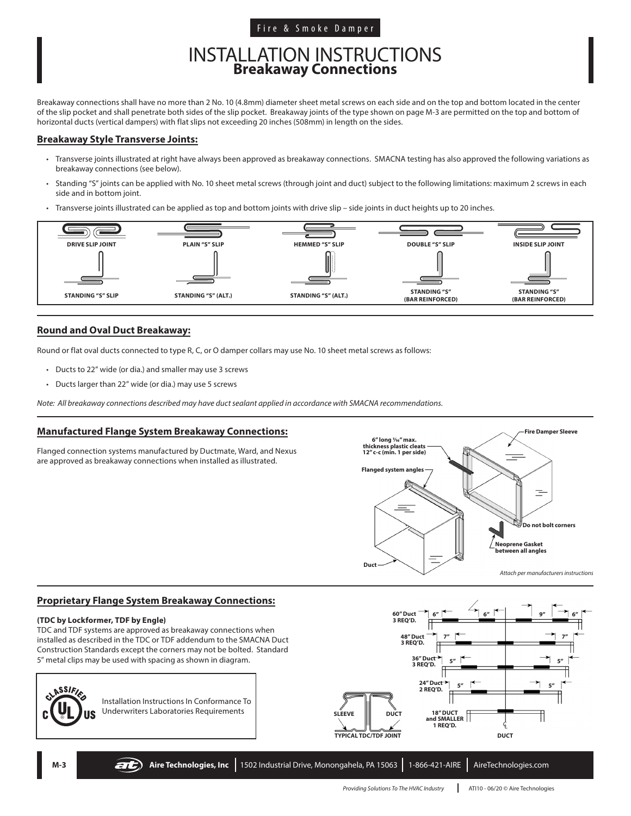# Fire & Smoke Damper

# INSTALLATION INSTRUCTIONS **Breakaway Connections**

Breakaway connections shall have no more than 2 No. 10 (4.8mm) diameter sheet metal screws on each side and on the top and bottom located in the center of the slip pocket and shall penetrate both sides of the slip pocket. Breakaway joints of the type shown on page M-3 are permitted on the top and bottom of horizontal ducts (vertical dampers) with flat slips not exceeding 20 inches (508mm) in length on the sides.

# **Breakaway Style Transverse Joints:**

- Transverse joints illustrated at right have always been approved as breakaway connections. SMACNA testing has also approved the following variations as breakaway connections (see below).
- Standing "S" joints can be applied with No. 10 sheet metal screws (through joint and duct) subject to the following limitations: maximum 2 screws in each side and in bottom joint.
- Transverse joints illustrated can be applied as top and bottom joints with drive slip side joints in duct heights up to 20 inches.



### **Round and Oval Duct Breakaway:**

Round or flat oval ducts connected to type R, C, or O damper collars may use No. 10 sheet metal screws as follows:

- Ducts to 22" wide (or dia.) and smaller may use 3 screws
- Ducts larger than 22" wide (or dia.) may use 5 screws

*Note: All breakaway connections described may have duct sealant applied in accordance with SMACNA recommendations.*

#### **Manufactured Flange System Breakaway Connections:**

Flanged connection systems manufactured by Ductmate, Ward, and Nexus are approved as breakaway connections when installed as illustrated.



#### **Proprietary Flange System Breakaway Connections:**

#### **(TDC by Lockformer, TDF by Engle)**

TDC and TDF systems are approved as breakaway connections when installed as described in the TDC or TDF addendum to the SMACNA Duct Construction Standards except the corners may not be bolted. Standard 5" metal clips may be used with spacing as shown in diagram.



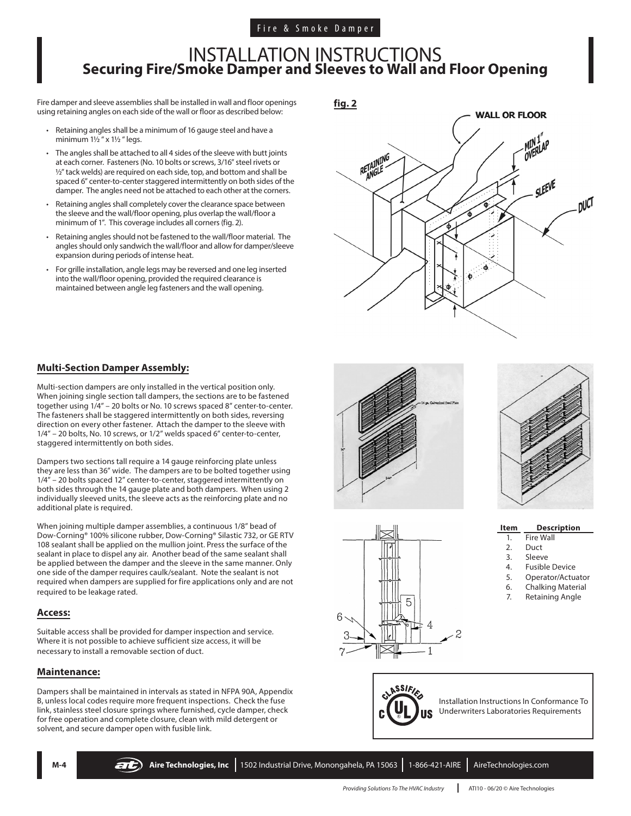# INSTALLATION INSTRUCTIONS **Securing Fire/Smoke Damper and Sleeves to Wall and Floor Opening**

Fire damper and sleeve assemblies shall be installed in wall and floor openings using retaining angles on each side of the wall or floor as described below:

- Retaining angles shall be a minimum of 16 gauge steel and have a minimum  $1\frac{1}{2}$  " x  $1\frac{1}{2}$  " legs.
- The angles shall be attached to all 4 sides of the sleeve with butt joints at each corner. Fasteners (No. 10 bolts or screws, 3/16" steel rivets or ½" tack welds) are required on each side, top, and bottom and shall be spaced 6" center-to-center staggered intermittently on both sides of the damper. The angles need not be attached to each other at the corners.
- Retaining angles shall completely cover the clearance space between the sleeve and the wall/floor opening, plus overlap the wall/floor a minimum of 1". This coverage includes all corners (fig. 2).
- Retaining angles should not be fastened to the wall/floor material. The angles should only sandwich the wall/floor and allow for damper/sleeve expansion during periods of intense heat.
- For grille installation, angle legs may be reversed and one leg inserted into the wall/floor opening, provided the required clearance is maintained between angle leg fasteners and the wall opening.

**fig. 2**



# **Multi-Section Damper Assembly:**

Multi-section dampers are only installed in the vertical position only. When joining single section tall dampers, the sections are to be fastened together using 1/4" – 20 bolts or No. 10 screws spaced 8" center-to-center. The fasteners shall be staggered intermittently on both sides, reversing direction on every other fastener. Attach the damper to the sleeve with 1/4" – 20 bolts, No. 10 screws, or 1/2" welds spaced 6" center-to-center, staggered intermittently on both sides.

Dampers two sections tall require a 14 gauge reinforcing plate unless they are less than 36" wide. The dampers are to be bolted together using 1/4" – 20 bolts spaced 12" center-to-center, staggered intermittently on both sides through the 14 gauge plate and both dampers. When using 2 individually sleeved units, the sleeve acts as the reinforcing plate and no additional plate is required.

When joining multiple damper assemblies, a continuous 1/8" bead of Dow-Corning® 100% silicone rubber, Dow-Corning® Silastic 732, or GE RTV 108 sealant shall be applied on the mullion joint. Press the surface of the sealant in place to dispel any air. Another bead of the same sealant shall be applied between the damper and the sleeve in the same manner. Only one side of the damper requires caulk/sealant. Note the sealant is not required when dampers are supplied for fire applications only and are not required to be leakage rated.

# **Access:**

Suitable access shall be provided for damper inspection and service. Where it is not possible to achieve sufficient size access, it will be necessary to install a removable section of duct.

# **Maintenance:**

Dampers shall be maintained in intervals as stated in NFPA 90A, Appendix B, unless local codes require more frequent inspections. Check the fuse link, stainless steel closure springs where furnished, cycle damper, check for free operation and complete closure, clean with mild detergent or solvent, and secure damper open with fusible link.







**Item Description**

- 1. Fire Wall 2. Duct
- 3. Sleeve
- 4. Fusible Device
- 5. Operator/Actuator
- 6. Chalking Material
- 7. Retaining Angle



Installation Instructions In Conformance To Underwriters Laboratories Requirements

**MC** Aire Technologies, Inc 1502 Industrial Drive, Monongahela, PA 15063 1-866-421-AIRE AireTechnologies.com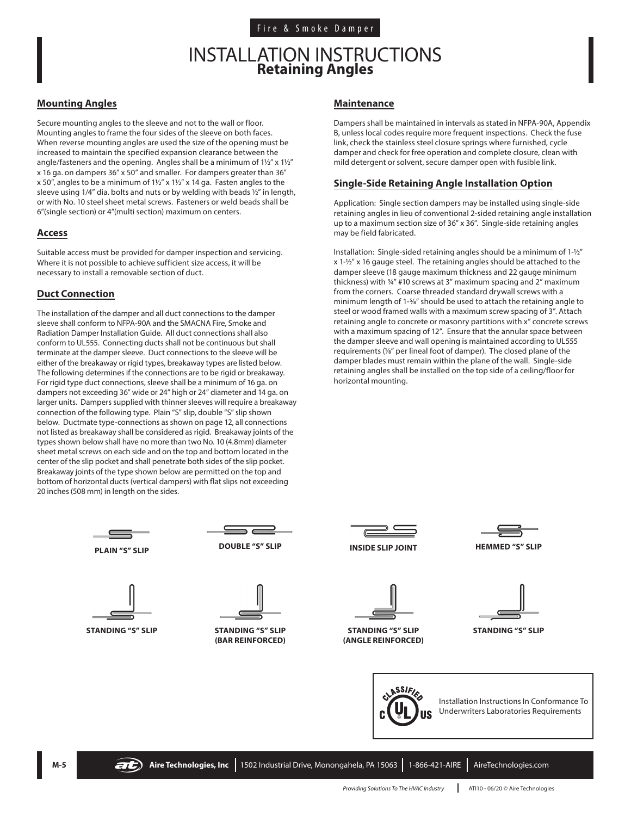# INSTALLATION INSTRUCTIONS **Retaining Angles**

#### **Mounting Angles**

Secure mounting angles to the sleeve and not to the wall or floor. Mounting angles to frame the four sides of the sleeve on both faces. When reverse mounting angles are used the size of the opening must be increased to maintain the specified expansion clearance between the angle/fasteners and the opening. Angles shall be a minimum of 1½" x 1½" x 16 ga. on dampers 36" x 50" and smaller. For dampers greater than 36" x 50", angles to be a minimum of 1½" x 1½" x 14 ga. Fasten angles to the sleeve using 1/4" dia. bolts and nuts or by welding with beads ½" in length, or with No. 10 steel sheet metal screws. Fasteners or weld beads shall be 6"(single section) or 4"(multi section) maximum on centers.

### **Access**

Suitable access must be provided for damper inspection and servicing. Where it is not possible to achieve sufficient size access, it will be necessary to install a removable section of duct.

# **Duct Connection**

The installation of the damper and all duct connections to the damper sleeve shall conform to NFPA-90A and the SMACNA Fire, Smoke and Radiation Damper Installation Guide. All duct connections shall also conform to UL555. Connecting ducts shall not be continuous but shall terminate at the damper sleeve. Duct connections to the sleeve will be either of the breakaway or rigid types, breakaway types are listed below. The following determines if the connections are to be rigid or breakaway. For rigid type duct connections, sleeve shall be a minimum of 16 ga. on dampers not exceeding 36" wide or 24" high or 24" diameter and 14 ga. on larger units. Dampers supplied with thinner sleeves will require a breakaway connection of the following type. Plain "S" slip, double "S" slip shown below. Ductmate type-connections as shown on page 12, all connections not listed as breakaway shall be considered as rigid. Breakaway joints of the types shown below shall have no more than two No. 10 (4.8mm) diameter sheet metal screws on each side and on the top and bottom located in the center of the slip pocket and shall penetrate both sides of the slip pocket. Breakaway joints of the type shown below are permitted on the top and bottom of horizontal ducts (vertical dampers) with flat slips not exceeding 20 inches (508 mm) in length on the sides.

#### **Maintenance**

Dampers shall be maintained in intervals as stated in NFPA-90A, Appendix B, unless local codes require more frequent inspections. Check the fuse link, check the stainless steel closure springs where furnished, cycle damper and check for free operation and complete closure, clean with mild detergent or solvent, secure damper open with fusible link.

# **Single-Side Retaining Angle Installation Option**

Application: Single section dampers may be installed using single-side retaining angles in lieu of conventional 2-sided retaining angle installation up to a maximum section size of 36" x 36". Single-side retaining angles may be field fabricated.

Installation: Single-sided retaining angles should be a minimum of 1-½" x 1-½" x 16 gauge steel. The retaining angles should be attached to the damper sleeve (18 gauge maximum thickness and 22 gauge minimum thickness) with ¾" #10 screws at 3" maximum spacing and 2" maximum from the corners. Coarse threaded standard drywall screws with a minimum length of 1-5/8" should be used to attach the retaining angle to steel or wood framed walls with a maximum screw spacing of 3". Attach retaining angle to concrete or masonry partitions with x" concrete screws with a maximum spacing of 12". Ensure that the annular space between the damper sleeve and wall opening is maintained according to UL555 requirements (1/8" per lineal foot of damper). The closed plane of the damper blades must remain within the plane of the wall. Single-side retaining angles shall be installed on the top side of a ceiling/floor for horizontal mounting.



**STANDING "S" SLIP STANDING "S" SLIP (BAR REINFORCED)**



**STANDING "S" SLIP (ANGLE REINFORCED)**





**STANDING "S" SLIP**



Installation Instructions In Conformance To Underwriters Laboratories Requirements